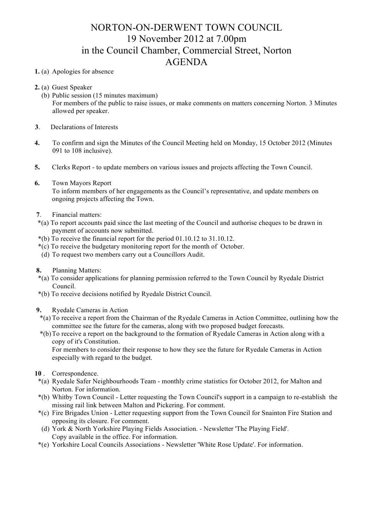## NORTON-ON-DERWENT TOWN COUNCIL 19 November 2012 at 7.00pm in the Council Chamber, Commercial Street, Norton AGENDA

## **1.** (a) Apologies for absence

- **2.** (a) Guest Speaker
	- (b) Public session (15 minutes maximum) For members of the public to raise issues, or make comments on matters concerning Norton. 3 Minutes allowed per speaker.
- **3**. Declarations of Interests
- **4.** To confirm and sign the Minutes of the Council Meeting held on Monday, 15 October 2012 (Minutes 091 to 108 inclusive).
- **5.** Clerks Report to update members on various issues and projects affecting the Town Council.
- **6.** Town Mayors Report To inform members of her engagements as the Council's representative, and update members on ongoing projects affecting the Town.
- **7**. Financial matters:
- \*(a) To report accounts paid since the last meeting of the Council and authorise cheques to be drawn in payment of accounts now submitted.
- \*(b) To receive the financial report for the period 01.10.12 to 31.10.12.
- \*(c) To receive the budgetary monitoring report for the month of October.
- (d) To request two members carry out a Councillors Audit.
- **8.** Planning Matters:
- \*(a) To consider applications for planning permission referred to the Town Council by Ryedale District Council.
- \*(b) To receive decisions notified by Ryedale District Council.
- **9.** Ryedale Cameras in Action
	- \*(a) To receive a report from the Chairman of the Ryedale Cameras in Action Committee, outlining how the committee see the future for the cameras, along with two proposed budget forecasts.
- \*(b)To receive a report on the background to the formation of Ryedale Cameras in Action along with a copy of it's Constitution.

For members to consider their response to how they see the future for Ryedale Cameras in Action especially with regard to the budget.

- **10** . Correspondence.
- \*(a) Ryedale Safer Neighbourhoods Team monthly crime statistics for October 2012, for Malton and Norton. For information.
- \*(b) Whitby Town Council Letter requesting the Town Council's support in a campaign to re-establish the missing rail link between Malton and Pickering. For comment.
- \*(c) Fire Brigades Union Letter requesting support from the Town Council for Snainton Fire Station and opposing its closure. For comment.
- (d) York & North Yorkshire Playing Fields Association. Newsletter 'The Playing Field'. Copy available in the office. For information.
- \*(e) Yorkshire Local Councils Associations Newsletter 'White Rose Update'. For information.